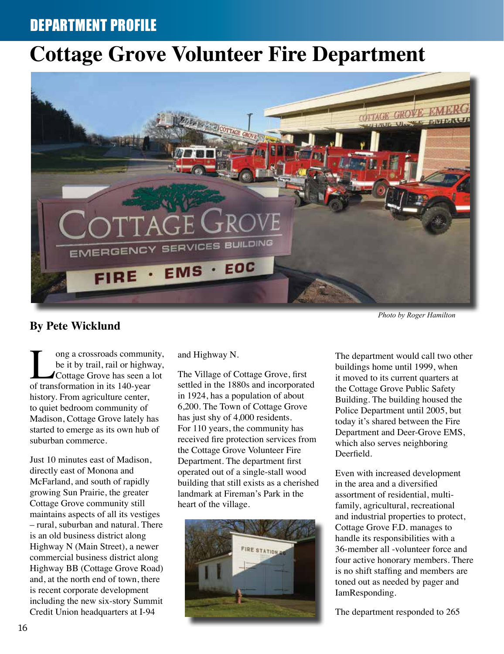## DEPARTMENT PROFILE

# **Cottage Grove Volunteer Fire Department**



### **By Pete Wicklund**

I ong a crossroads community,<br>be it by trail, rail or highway,<br>Cottage Grove has seen a lot<br>of transformation in its 140-vear be it by trail, rail or highway, Cottage Grove has seen a lot of transformation in its 140-year history. From agriculture center, to quiet bedroom community of Madison, Cottage Grove lately has started to emerge as its own hub of suburban commerce.

Just 10 minutes east of Madison, directly east of Monona and McFarland, and south of rapidly growing Sun Prairie, the greater Cottage Grove community still maintains aspects of all its vestiges – rural, suburban and natural. There is an old business district along Highway N (Main Street), a newer commercial business district along Highway BB (Cottage Grove Road) and, at the north end of town, there is recent corporate development including the new six-story Summit Credit Union headquarters at I-94

and Highway N.

The Village of Cottage Grove, first settled in the 1880s and incorporated in 1924, has a population of about 6,200. The Town of Cottage Grove has just shy of 4,000 residents. For 110 years, the community has received fire protection services from the Cottage Grove Volunteer Fire Department. The department first operated out of a single-stall wood building that still exists as a cherished landmark at Fireman's Park in the heart of the village.



The department would call two other buildings home until 1999, when it moved to its current quarters at the Cottage Grove Public Safety Building. The building housed the Police Department until 2005, but today it's shared between the Fire Department and Deer-Grove EMS, which also serves neighboring Deerfield.

Even with increased development in the area and a diversified assortment of residential, multifamily, agricultural, recreational and industrial properties to protect, Cottage Grove F.D. manages to handle its responsibilities with a 36-member all -volunteer force and four active honorary members. There is no shift staffing and members are toned out as needed by pager and IamResponding.

The department responded to 265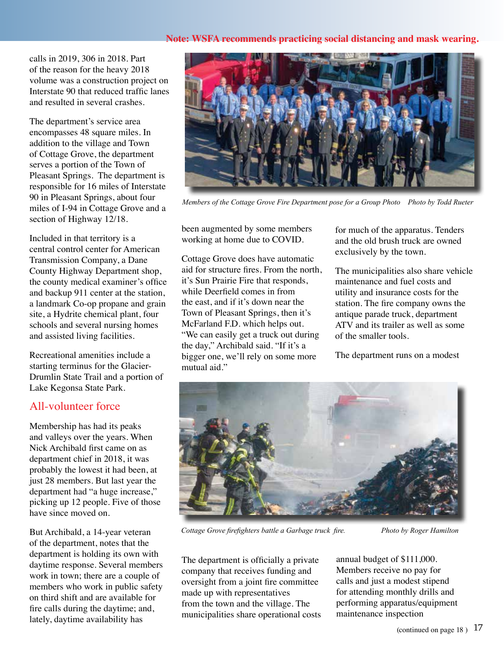#### **Note: WSFA recommends practicing social distancing and mask wearing.**

calls in 2019, 306 in 2018. Part of the reason for the heavy 2018 volume was a construction project on Interstate 90 that reduced traffic lanes and resulted in several crashes.

The department's service area encompasses 48 square miles. In addition to the village and Town of Cottage Grove, the department serves a portion of the Town of Pleasant Springs. The department is responsible for 16 miles of Interstate 90 in Pleasant Springs, about four miles of I-94 in Cottage Grove and a section of Highway 12/18.

Included in that territory is a central control center for American Transmission Company, a Dane County Highway Department shop, the county medical examiner's office and backup 911 center at the station, a landmark Co-op propane and grain site, a Hydrite chemical plant, four schools and several nursing homes and assisted living facilities.

Recreational amenities include a starting terminus for the Glacier-Drumlin State Trail and a portion of Lake Kegonsa State Park.

### All-volunteer force

Membership has had its peaks and valleys over the years. When Nick Archibald first came on as department chief in 2018, it was probably the lowest it had been, at just 28 members. But last year the department had "a huge increase," picking up 12 people. Five of those have since moved on.

But Archibald, a 14-year veteran of the department, notes that the department is holding its own with daytime response. Several members work in town; there are a couple of members who work in public safety on third shift and are available for fire calls during the daytime; and, lately, daytime availability has



*Members of the Cottage Grove Fire Department pose for a Group Photo Photo by Todd Rueter*

been augmented by some members working at home due to COVID.

Cottage Grove does have automatic aid for structure fires. From the north, it's Sun Prairie Fire that responds, while Deerfield comes in from the east, and if it's down near the Town of Pleasant Springs, then it's McFarland F.D. which helps out. "We can easily get a truck out during the day," Archibald said. "If it's a bigger one, we'll rely on some more mutual aid."

for much of the apparatus. Tenders and the old brush truck are owned exclusively by the town.

The municipalities also share vehicle maintenance and fuel costs and utility and insurance costs for the station. The fire company owns the antique parade truck, department ATV and its trailer as well as some of the smaller tools.

The department runs on a modest



*Cottage Grove firefighters battle a Garbage truck fire.* Photo by Roger Hamilton

The department is officially a private company that receives funding and oversight from a joint fire committee made up with representatives from the town and the village. The municipalities share operational costs annual budget of \$111,000. Members receive no pay for calls and just a modest stipend for attending monthly drills and performing apparatus/equipment maintenance inspection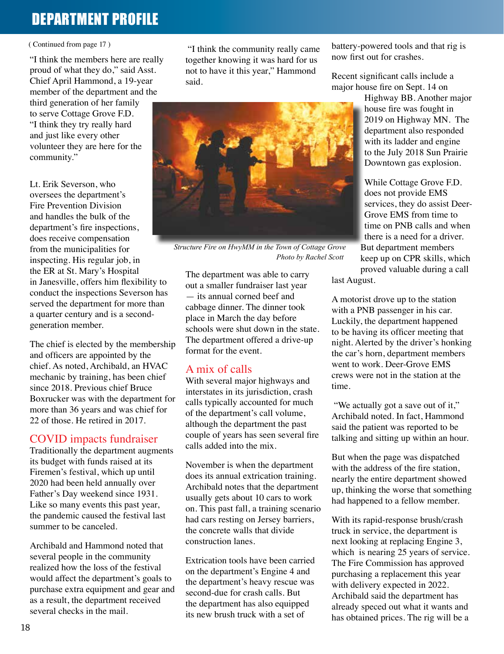# DEPARTMENT PROFILE

#### ( Continued from page 17 )

"I think the members here are really proud of what they do," said Asst. Chief April Hammond, a 19-year member of the department and the third generation of her family to serve Cottage Grove F.D. "I think they try really hard and just like every other volunteer they are here for the community."

Lt. Erik Severson, who oversees the department's Fire Prevention Division and handles the bulk of the department's fire inspections, does receive compensation from the municipalities for inspecting. His regular job, in the ER at St. Mary's Hospital in Janesville, offers him flexibility to conduct the inspections Severson has served the department for more than a quarter century and is a secondgeneration member.

The chief is elected by the membership and officers are appointed by the chief. As noted, Archibald, an HVAC mechanic by training, has been chief since 2018. Previous chief Bruce Boxrucker was with the department for more than 36 years and was chief for 22 of those. He retired in 2017.

#### COVID impacts fundraiser

Traditionally the department augments its budget with funds raised at its Firemen's festival, which up until 2020 had been held annually over Father's Day weekend since 1931. Like so many events this past year, the pandemic caused the festival last summer to be canceled.

Archibald and Hammond noted that several people in the community realized how the loss of the festival would affect the department's goals to purchase extra equipment and gear and as a result, the department received several checks in the mail.

 "I think the community really came together knowing it was hard for us not to have it this year," Hammond said.



 *Structure Fire on HwyMM in the Town of Cottage Grove Photo by Rachel Scott*

The department was able to carry out a smaller fundraiser last year — its annual corned beef and cabbage dinner. The dinner took place in March the day before schools were shut down in the state. The department offered a drive-up format for the event.

#### A mix of calls

With several major highways and interstates in its jurisdiction, crash calls typically accounted for much of the department's call volume, although the department the past couple of years has seen several fire calls added into the mix.

November is when the department does its annual extrication training. Archibald notes that the department usually gets about 10 cars to work on. This past fall, a training scenario had cars resting on Jersey barriers, the concrete walls that divide construction lanes.

Extrication tools have been carried on the department's Engine 4 and the department's heavy rescue was second-due for crash calls. But the department has also equipped its new brush truck with a set of

battery-powered tools and that rig is now first out for crashes.

Recent significant calls include a major house fire on Sept. 14 on

> Highway BB. Another major house fire was fought in 2019 on Highway MN. The department also responded with its ladder and engine to the July 2018 Sun Prairie Downtown gas explosion.

While Cottage Grove F.D. does not provide EMS services, they do assist Deer-Grove EMS from time to time on PNB calls and when there is a need for a driver. But department members keep up on CPR skills, which proved valuable during a call last August.

A motorist drove up to the station

with a PNB passenger in his car. Luckily, the department happened to be having its officer meeting that night. Alerted by the driver's honking the car's horn, department members went to work. Deer-Grove EMS crews were not in the station at the time.

 "We actually got a save out of it," Archibald noted. In fact, Hammond said the patient was reported to be talking and sitting up within an hour.

But when the page was dispatched with the address of the fire station. nearly the entire department showed up, thinking the worse that something had happened to a fellow member.

With its rapid-response brush/crash truck in service, the department is next looking at replacing Engine 3, which is nearing 25 years of service. The Fire Commission has approved purchasing a replacement this year with delivery expected in 2022. Archibald said the department has already speced out what it wants and has obtained prices. The rig will be a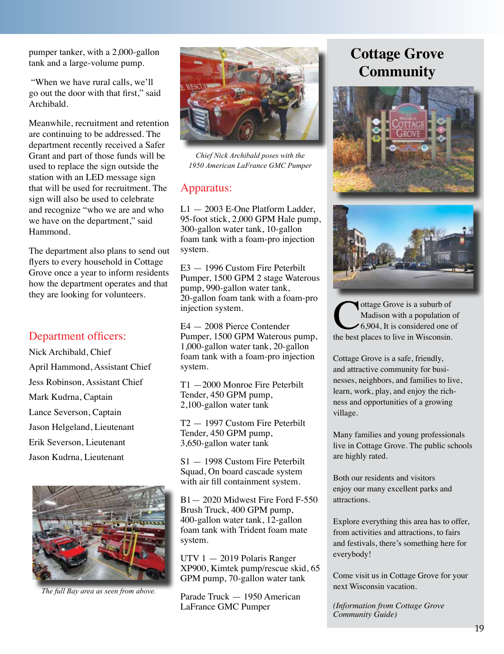pumper tanker, with a 2,000-gallon tank and a large-volume pump.

 "When we have rural calls, we'll go out the door with that first," said Archibald.

Meanwhile, recruitment and retention are continuing to be addressed. The department recently received a Safer Grant and part of those funds will be used to replace the sign outside the station with an LED message sign that will be used for recruitment. The sign will also be used to celebrate and recognize "who we are and who we have on the department," said Hammond.

The department also plans to send out flyers to every household in Cottage Grove once a year to inform residents how the department operates and that they are looking for volunteers.

### Department officers:

Nick Archibald, Chief April Hammond, Assistant Chief Jess Robinson, Assistant Chief Mark Kudrna, Captain Lance Severson, Captain Jason Helgeland, Lieutenant Erik Severson, Lieutenant Jason Kudrna, Lieutenant



*The full Bay area as seen from above.*



*Chief Nick Archibald poses with the 1950 American LaFrance GMC Pumper*

### Apparatus:

L1 — 2003 E-One Platform Ladder, 95-foot stick, 2,000 GPM Hale pump, 300-gallon water tank, 10-gallon foam tank with a foam-pro injection system.

E3 — 1996 Custom Fire Peterbilt Pumper, 1500 GPM 2 stage Waterous pump, 990-gallon water tank, 20-gallon foam tank with a foam-pro injection system.

E4 — 2008 Pierce Contender Pumper, 1500 GPM Waterous pump, 1,000-gallon water tank, 20-gallon foam tank with a foam-pro injection system.

T1 —2000 Monroe Fire Peterbilt Tender, 450 GPM pump, 2,100-gallon water tank

T2 — 1997 Custom Fire Peterbilt Tender, 450 GPM pump, 3,650-gallon water tank

S1 — 1998 Custom Fire Peterbilt Squad, On board cascade system with air fill containment system.

B1— 2020 Midwest Fire Ford F-550 Brush Truck, 400 GPM pump, 400-gallon water tank, 12-gallon foam tank with Trident foam mate system.

UTV 1 — 2019 Polaris Ranger XP900, Kimtek pump/rescue skid, 65 GPM pump, 70-gallon water tank

Parade Truck — 1950 American LaFrance GMC Pumper

# **Cottage Grove Community**





Ottage Grove is a suburb of Madison with a population of 6,904, It is considered one of the best places to live in Wisconsin. Madison with a population of 6,904, It is considered one of

Cottage Grove is a safe, friendly, and attractive community for businesses, neighbors, and families to live, learn, work, play, and enjoy the richness and opportunities of a growing village.

Many families and young professionals live in Cottage Grove. The public schools are highly rated.

Both our residents and visitors enjoy our many excellent parks and attractions.

Explore everything this area has to offer, from activities and attractions, to fairs and festivals, there's something here for everybody!

Come visit us in Cottage Grove for your next Wisconsin vacation.

*(Information from Cottage Grove Community Guide)*